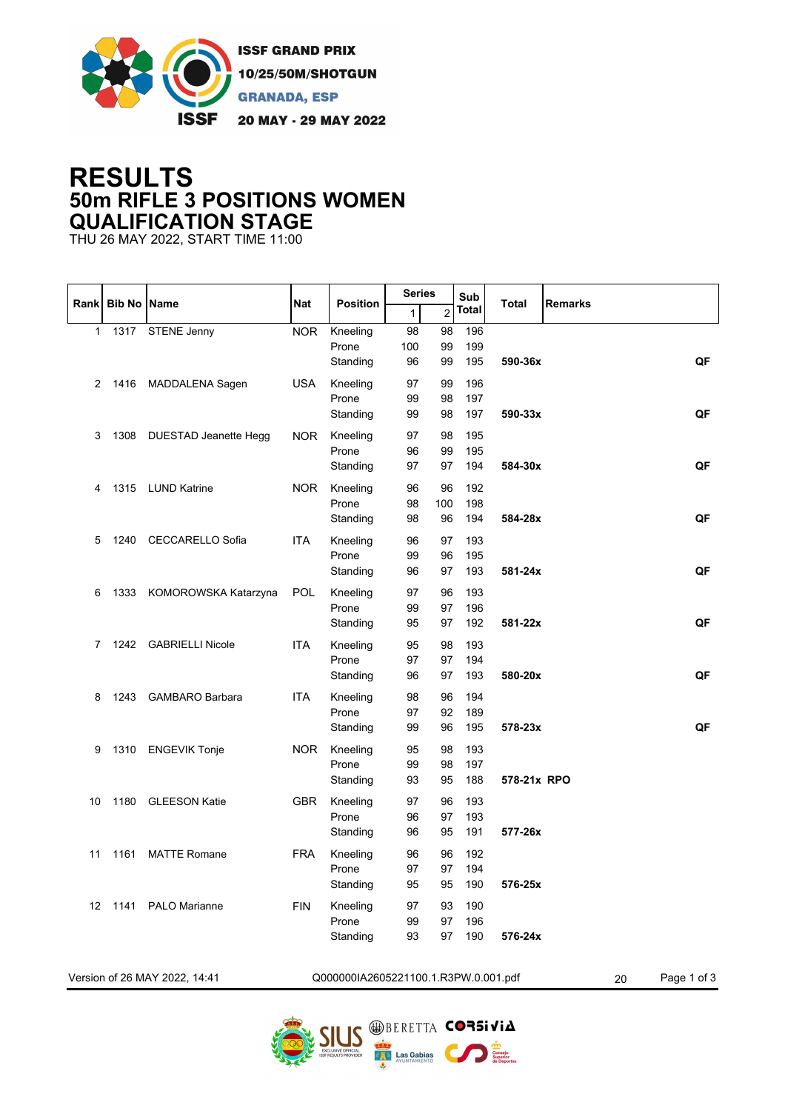

## **RESULTS 50m RIFLE 3 POSITIONS WOMEN QUALIFICATION STAGE**

THU 26 MAY 2022, START TIME 11:00

|      |                    |                               |            |                                      | <b>Series</b>   |                 | Sub               |              |                   |
|------|--------------------|-------------------------------|------------|--------------------------------------|-----------------|-----------------|-------------------|--------------|-------------------|
| Rank | <b>Bib No Name</b> |                               | <b>Nat</b> | <b>Position</b>                      | $\mathbf{1}$    | $\overline{2}$  | Total             | <b>Total</b> | <b>Remarks</b>    |
| 1    | 1317               | <b>STENE Jenny</b>            | <b>NOR</b> | Kneeling<br>Prone<br>Standing        | 98<br>100<br>96 | 98<br>99<br>99  | 196<br>199<br>195 | 590-36x      | QF                |
| 2    |                    | 1416 MADDALENA Sagen          | <b>USA</b> | Kneeling<br>Prone<br>Standing        | 97<br>99<br>99  | 99<br>98<br>98  | 196<br>197<br>197 | 590-33x      | QF                |
| 3    | 1308               | DUESTAD Jeanette Hegg         | <b>NOR</b> | Kneeling<br>Prone<br>Standing        | 97<br>96<br>97  | 98<br>99<br>97  | 195<br>195<br>194 | 584-30x      | QF                |
| 4    | 1315               | <b>LUND Katrine</b>           | <b>NOR</b> | Kneeling<br>Prone<br>Standing        | 96<br>98<br>98  | 96<br>100<br>96 | 192<br>198<br>194 | 584-28x      | QF                |
| 5    | 1240               | CECCARELLO Sofia              | <b>ITA</b> | Kneeling<br>Prone<br>Standing        | 96<br>99<br>96  | 97<br>96<br>97  | 193<br>195<br>193 | 581-24x      | QF                |
| 6    |                    | 1333 KOMOROWSKA Katarzyna     | <b>POL</b> | Kneeling<br>Prone<br>Standing        | 97<br>99<br>95  | 96<br>97<br>97  | 193<br>196<br>192 | 581-22x      | QF                |
| 7    | 1242               | <b>GABRIELLI Nicole</b>       | <b>ITA</b> | Kneeling<br>Prone<br>Standing        | 95<br>97<br>96  | 98<br>97<br>97  | 193<br>194<br>193 | 580-20x      | QF                |
| 8    | 1243               | <b>GAMBARO Barbara</b>        | <b>ITA</b> | Kneeling<br>Prone<br>Standing        | 98<br>97<br>99  | 96<br>92<br>96  | 194<br>189<br>195 | 578-23x      | QF                |
| 9    |                    | 1310 ENGEVIK Tonje            | <b>NOR</b> | Kneeling<br>Prone<br>Standing        | 95<br>99<br>93  | 98<br>98<br>95  | 193<br>197<br>188 | 578-21x RPO  |                   |
| 10   | 1180               | <b>GLEESON Katie</b>          | <b>GBR</b> | Kneeling<br>Prone<br>Standing        | 97<br>96<br>96  | 96<br>97<br>95  | 193<br>193<br>191 | 577-26x      |                   |
| 11   | 1161               | <b>MATTE Romane</b>           | <b>FRA</b> | Kneeling<br>Prone<br>Standing        | 96<br>97<br>95  | 96<br>97<br>95  | 192<br>194<br>190 | 576-25x      |                   |
|      |                    | 12 1141 PALO Marianne         | <b>FIN</b> | Kneeling<br>Prone<br>Standing        | 97<br>99<br>93  | 93<br>97<br>97  | 190<br>196<br>190 | 576-24x      |                   |
|      |                    | Version of 26 MAY 2022, 14:41 |            | Q000000IA2605221100.1.R3PW.0.001.pdf |                 |                 |                   |              | Page 1 of 3<br>20 |

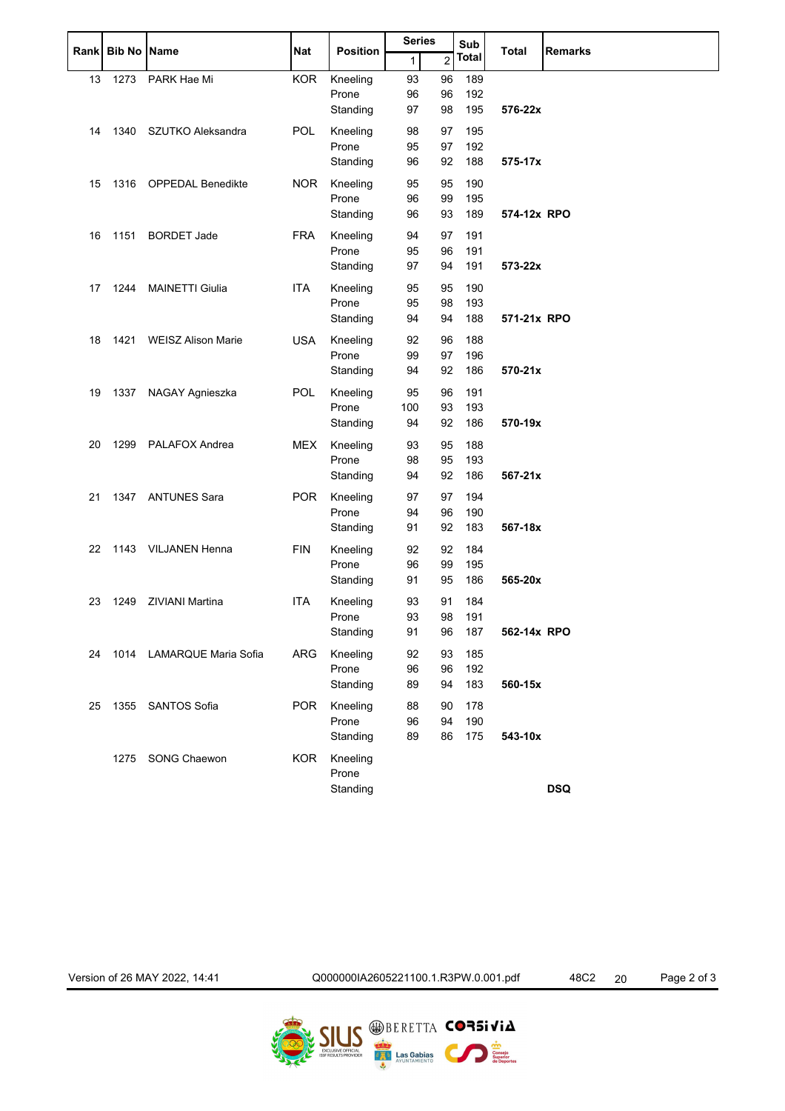|    |                  |                           |            |                   | <b>Series</b> |                | Sub        |              |                |
|----|------------------|---------------------------|------------|-------------------|---------------|----------------|------------|--------------|----------------|
|    | Rank Bib No Name |                           | <b>Nat</b> | <b>Position</b>   | 1             | $\overline{c}$ | Total      | <b>Total</b> | <b>Remarks</b> |
| 13 | 1273             | PARK Hae Mi               | <b>KOR</b> | Kneeling          | 93            | 96             | 189        |              |                |
|    |                  |                           |            | Prone             | 96            | 96             | 192        |              |                |
|    |                  |                           |            | Standing          | 97            | 98             | 195        | 576-22x      |                |
| 14 | 1340             | SZUTKO Aleksandra         | POL        | Kneeling          | 98            | 97             | 195        |              |                |
|    |                  |                           |            | Prone             | 95            | 97             | 192        |              |                |
|    |                  |                           |            | Standing          | 96            | 92             | 188        | 575-17x      |                |
| 15 | 1316             | <b>OPPEDAL Benedikte</b>  | <b>NOR</b> | Kneeling          | 95            | 95             | 190        |              |                |
|    |                  |                           |            | Prone             | 96            | 99             | 195        |              |                |
|    |                  |                           |            | Standing          | 96            | 93             | 189        | 574-12x RPO  |                |
| 16 | 1151             | <b>BORDET Jade</b>        | <b>FRA</b> | Kneeling          | 94            | 97             | 191        |              |                |
|    |                  |                           |            | Prone             | 95            | 96             | 191        |              |                |
|    |                  |                           |            | Standing          | 97            | 94             | 191        | 573-22x      |                |
|    |                  |                           |            |                   |               |                |            |              |                |
| 17 | 1244             | <b>MAINETTI Giulia</b>    | <b>ITA</b> | Kneeling          | 95            | 95             | 190        |              |                |
|    |                  |                           |            | Prone             | 95            | 98             | 193        |              |                |
|    |                  |                           |            | Standing          | 94            | 94             | 188        | 571-21x RPO  |                |
| 18 | 1421             | <b>WEISZ Alison Marie</b> | <b>USA</b> | Kneeling          | 92            | 96             | 188        |              |                |
|    |                  |                           |            | Prone             | 99            | 97             | 196        |              |                |
|    |                  |                           |            | Standing          | 94            | 92             | 186        | 570-21x      |                |
| 19 | 1337             | NAGAY Agnieszka           | <b>POL</b> | Kneeling          | 95            | 96             | 191        |              |                |
|    |                  |                           |            | Prone             | 100           | 93             | 193        |              |                |
|    |                  |                           |            | Standing          | 94            | 92             | 186        | 570-19x      |                |
| 20 | 1299             | PALAFOX Andrea            | <b>MEX</b> | Kneeling          | 93            | 95             | 188        |              |                |
|    |                  |                           |            | Prone             | 98            | 95             | 193        |              |                |
|    |                  |                           |            | Standing          | 94            | 92             | 186        | 567-21x      |                |
| 21 | 1347             | <b>ANTUNES Sara</b>       | <b>POR</b> | Kneeling          | 97            | 97             | 194        |              |                |
|    |                  |                           |            | Prone             | 94            | 96             | 190        |              |                |
|    |                  |                           |            | Standing          | 91            | 92             | 183        | 567-18x      |                |
|    |                  |                           |            |                   |               |                |            |              |                |
| 22 | 1143             | <b>VILJANEN Henna</b>     | <b>FIN</b> | Kneeling          | 92            | 92             | 184        |              |                |
|    |                  |                           |            | Prone<br>Standing | 96<br>91      | 99<br>95       | 195<br>186 | 565-20x      |                |
|    |                  |                           |            |                   |               |                |            |              |                |
| 23 | 1249             | <b>ZIVIANI Martina</b>    | <b>ITA</b> | Kneeling          | 93            | 91             | 184        |              |                |
|    |                  |                           |            | Prone             | 93            | 98             | 191        |              |                |
|    |                  |                           |            | Standing          | 91            | 96             | 187        | 562-14x RPO  |                |
| 24 |                  | 1014 LAMARQUE Maria Sofia | <b>ARG</b> | Kneeling          | 92            | 93             | 185        |              |                |
|    |                  |                           |            | Prone             | 96            | 96             | 192        |              |                |
|    |                  |                           |            | Standing          | 89            | 94             | 183        | 560-15x      |                |
| 25 | 1355             | SANTOS Sofia              | <b>POR</b> | Kneeling          | 88            | 90             | 178        |              |                |
|    |                  |                           |            | Prone             | 96            | 94             | 190        |              |                |
|    |                  |                           |            | Standing          | 89            | 86             | 175        | 543-10x      |                |
|    | 1275             | SONG Chaewon              | <b>KOR</b> | Kneeling          |               |                |            |              |                |
|    |                  |                           |            | Prone             |               |                |            |              |                |
|    |                  |                           |            | Standing          |               |                |            |              | <b>DSQ</b>     |
|    |                  |                           |            |                   |               |                |            |              |                |